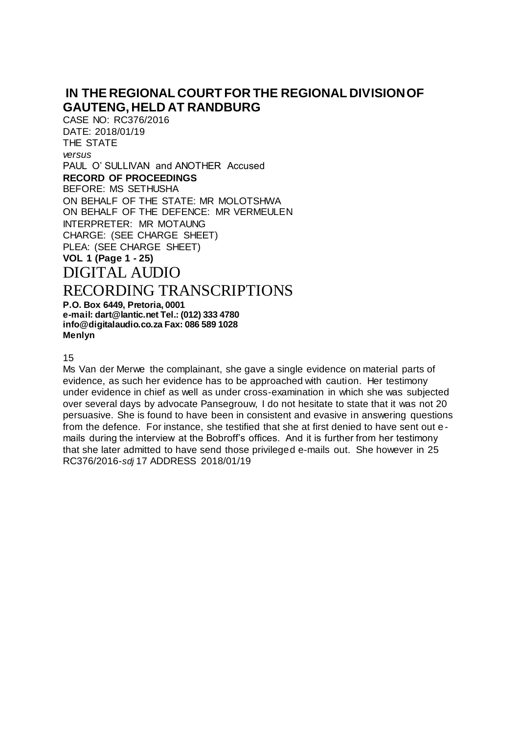## **IN THE REGIONAL COURT FOR THE REGIONAL DIVISION OF GAUTENG, HELD AT RANDBURG**

CASE NO: RC376/2016 DATE: 2018/01/19 THE STATE *versus*  PAUL O' SULLIVAN and ANOTHER Accused **RECORD OF PROCEEDINGS**  BEFORE: MS SETHUSHA ON BEHALF OF THE STATE: MR MOLOTSHWA ON BEHALF OF THE DEFENCE: MR VERMEULEN INTERPRETER: MR MOTAUNG CHARGE: (SEE CHARGE SHEET) PLEA: (SEE CHARGE SHEET) **VOL 1 (Page 1 - 25)**  DIGITAL AUDIO

## RECORDING TRANSCRIPTIONS

**P.O. Box 6449, Pretoria, 0001 e-mail: dart@lantic.net Tel.: (012) 333 4780 info@digitalaudio.co.za Fax: 086 589 1028 Menlyn**

15

Ms Van der Merwe the complainant, she gave a single evidence on material parts of evidence, as such her evidence has to be approached with caution. Her testimony under evidence in chief as well as under cross-examination in which she was subjected over several days by advocate Pansegrouw, I do not hesitate to state that it was not 20 persuasive. She is found to have been in consistent and evasive in answering questions from the defence. For instance, she testified that she at first denied to have sent out e mails during the interview at the Bobroff's offices. And it is further from her testimony that she later admitted to have send those privileged e-mails out. She however in 25 RC376/2016-*sdj* 17 ADDRESS 2018/01/19